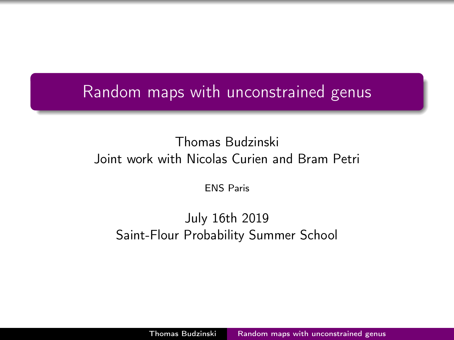## <span id="page-0-0"></span>Random maps with unconstrained genus

#### Thomas Budzinski Joint work with Nicolas Curien and Bram Petri

ENS Paris

#### July 16th 2019 Saint-Flour Probability Summer School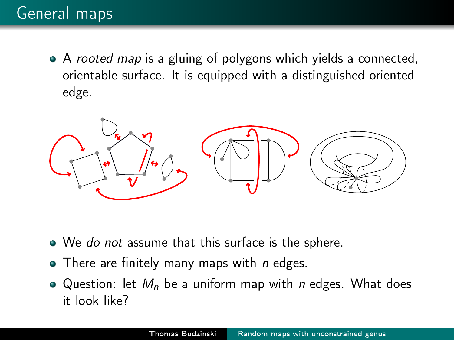• A rooted map is a gluing of polygons which yields a connected, orientable surface. It is equipped with a distinguished oriented edge.



- We do not assume that this surface is the sphere.
- $\bullet$  There are finitely many maps with *n* edges.
- Question: let  $M_n$  be a uniform map with *n* edges. What does it look like?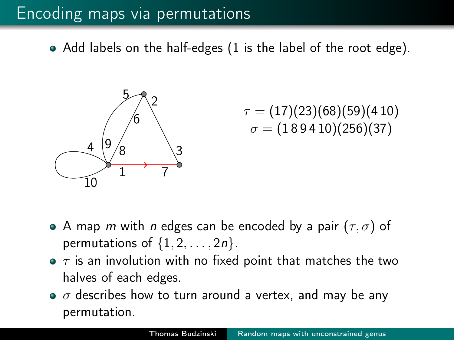## Encoding maps via permutations

Add labels on the half-edges (1 is the label of the root edge).



$$
\tau = (17)(23)(68)(59)(410) \n\sigma = (189410)(256)(37)
$$

- A map m with n edges can be encoded by a pair  $(\tau, \sigma)$  of permutations of  $\{1, 2, \ldots, 2n\}$ .
- $\bullet$   $\tau$  is an involution with no fixed point that matches the two halves of each edges.
- $\bullet$   $\sigma$  describes how to turn around a vertex, and may be any permutation.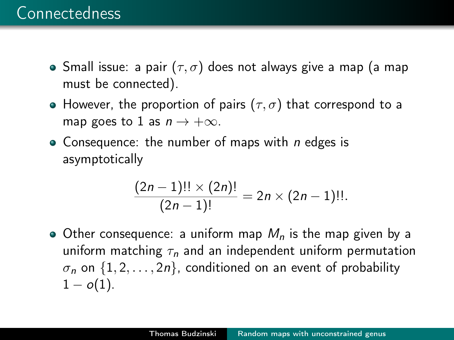- Small issue: a pair  $(\tau, \sigma)$  does not always give a map (a map must be connected).
- However, the proportion of pairs  $(\tau, \sigma)$  that correspond to a map goes to 1 as  $n \to +\infty$ .
- Consequence: the number of maps with  $n$  edges is asymptotically

$$
\frac{(2n-1)!! \times (2n)!}{(2n-1)!} = 2n \times (2n-1)!!.
$$

• Other consequence: a uniform map  $M_n$  is the map given by a uniform matching  $\tau_n$  and an independent uniform permutation  $\sigma_n$  on  $\{1, 2, \ldots, 2n\}$ , conditioned on an event of probability  $1 - o(1)$ .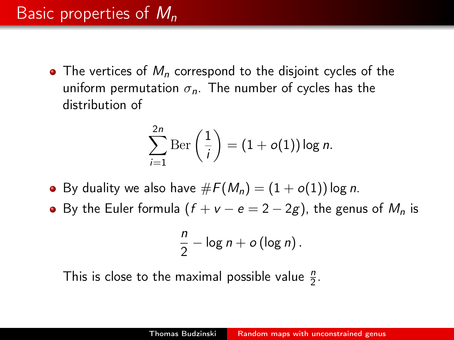## Basic properties of  $M_n$

• The vertices of  $M_n$  correspond to the disjoint cycles of the uniform permutation  $\sigma_n$ . The number of cycles has the distribution of

$$
\sum_{i=1}^{2n} \mathrm{Ber}\left(\frac{1}{i}\right) = (1+o(1))\log n.
$$

- By duality we also have  $\#F(M_n) = (1 + o(1)) \log n$ .
- $\bullet$  By the Euler formula (f + v e = 2 2g), the genus of  $M_n$  is

$$
\frac{n}{2}-\log n+o(\log n).
$$

This is close to the maximal possible value  $\frac{n}{2}$ .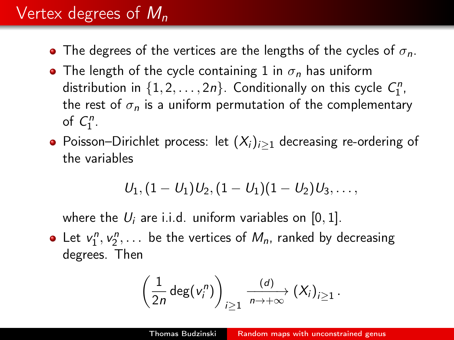# Vertex degrees of  $M_n$

- The degrees of the vertices are the lengths of the cycles of  $\sigma_n$ .
- The length of the cycle containing 1 in  $\sigma_n$  has uniform distribution in  $\{1, 2, ..., 2n\}$ . Conditionally on this cycle  $C_1^n$ , the rest of  $\sigma_n$  is a uniform permutation of the complementary of  $C_1^n$ .
- Poisson–Dirichlet process: let  $(X_i)_{i>1}$  decreasing re-ordering of the variables

$$
\mathit{U}_1, (1-\mathit{U}_1)\mathit{U}_2, (1-\mathit{U}_1)(1-\mathit{U}_2)\mathit{U}_3, \ldots,
$$

where the  $U_i$  are i.i.d. uniform variables on [0, 1].

Let  $v_1^n, v_2^n, \ldots$  be the vertices of  $M_n$ , ranked by decreasing degrees. Then

$$
\left(\frac{1}{2n}\deg(v_i^n)\right)_{i\geq 1}\xrightarrow[n\to+\infty]{(d)} (X_i)_{i\geq 1}.
$$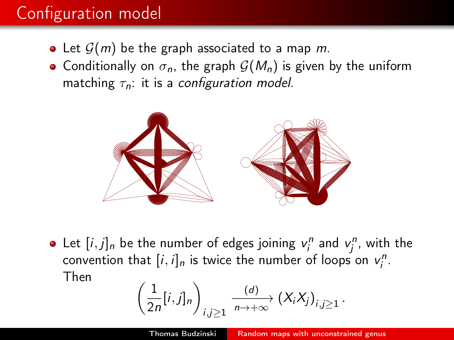# Configuration model

- Let  $\mathcal{G}(m)$  be the graph associated to a map m.
- Conditionally on  $\sigma_n$ , the graph  $\mathcal{G}(M_n)$  is given by the uniform matching  $\tau_n$ : it is a configuration model.



Let  $[i, j]_n$  be the number of edges joining  $v_i^n$  and  $v_j^n$ , with the convention that  $[i, i]_n$  is twice the number of loops on  $v_i^n$ . Then

$$
\left(\frac{1}{2n}[i,j]_n\right)_{i,j\geq 1} \xrightarrow[n\to+\infty]{(d)} \left(X_iX_j\right)_{i,j\geq 1}.
$$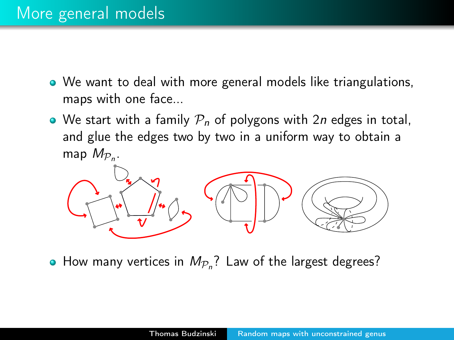- We want to deal with more general models like triangulations, maps with one face...
- We start with a family  $P_n$  of polygons with 2*n* edges in total, and glue the edges two by two in a uniform way to obtain a map  $M_{\mathcal{P}_n}$ .



How many vertices in  $M_{\mathcal{P}_n}$ ? Law of the largest degrees?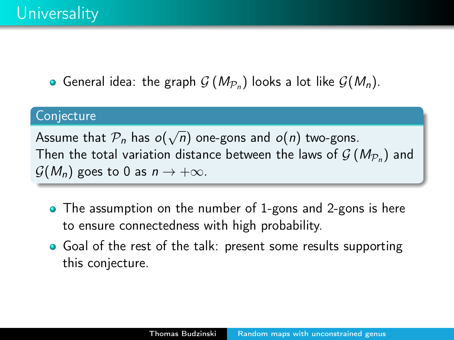General idea: the graph  $G(M_{\mathcal{P}_n})$  looks a lot like  $G(M_n)$ .

#### **Conjecture**

Assume that  $\mathcal{P}_n$  has  $o(\sqrt{n})$  one-gons and  $o(n)$  two-gons. Then the total variation distance between the laws of  $\mathcal{G}\left(M_{\mathcal{P}_n}\right)$  and  $\mathcal{G}(M_n)$  goes to 0 as  $n \to +\infty$ .

- The assumption on the number of 1-gons and 2-gons is here to ensure connectedness with high probability.
- Goal of the rest of the talk: present some results supporting this conjecture.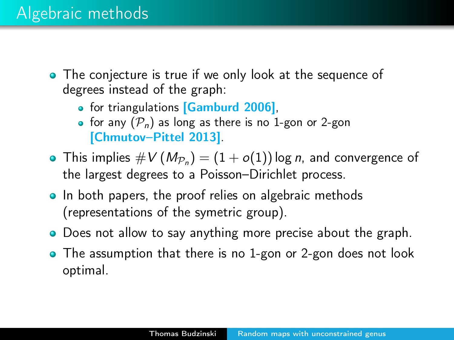### Algebraic methods

- The conjecture is true if we only look at the sequence of degrees instead of the graph:
	- for triangulations [Gamburd 2006],
	- for any  $(\mathcal{P}_n)$  as long as there is no 1-gon or 2-gon [Chmutov–Pittel 2013].
- This implies  $\#V\left(\mathit{M}_{\mathcal{P}_n}\right)=(1+o(1))$  log  $n,$  and convergence of the largest degrees to a Poisson–Dirichlet process.
- In both papers, the proof relies on algebraic methods (representations of the symetric group).
- **•** Does not allow to say anything more precise about the graph.
- The assumption that there is no 1-gon or 2-gon does not look optimal.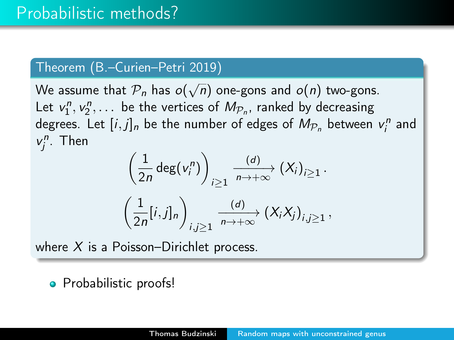#### Theorem (B.–Curien–Petri 2019)

We assume that  $\overline{\mathcal{P}_n}$  has  $o(\sqrt{n})$  one-gons and  $o(n)$  two-gons. Let  $v_1^n, v_2^n, \ldots$  be the vertices of  $M_{\mathcal{P}_n}$ , ranked by decreasing degrees. Let  $[i,j]_n$  be the number of edges of  $M_{\mathcal{P}_n}$  between  $v_i^n$  and  $v_j^n$ . Then

$$
\left(\frac{1}{2n}\deg(v_i^n)\right)_{i\geq 1}\xrightarrow[n\to+\infty]{(d)} (X_i)_{i\geq 1}.
$$

$$
\left(\frac{1}{2n}[i,j]_n\right)_{i,j\geq 1}\xrightarrow[n\to+\infty]{(d)} (X_iX_j)_{i,j\geq 1},
$$

where  $X$  is a Poisson–Dirichlet process.

• Probabilistic proofs!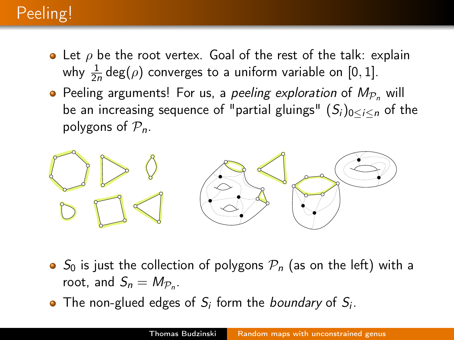# Peeling!

- Let  $\rho$  be the root vertex. Goal of the rest of the talk: explain why  $\frac{1}{2n}$  deg $(\rho)$  converges to a uniform variable on  $[0,1]$ .
- Peeling arguments! For us, a *peeling exploration* of  $M_{\mathcal{P}_n}$  will be an increasing sequence of "partial gluings"  $(S_i)_{0 \leq i \leq n}$  of the polygons of  $P_n$ .



- $\bullet$  S<sub>0</sub> is just the collection of polygons  $P_n$  (as on the left) with a root, and  $S_n = M_{\mathcal{P}_n}$ .
- The non-glued edges of  $S_i$  form the *boundary* of  $S_i$ .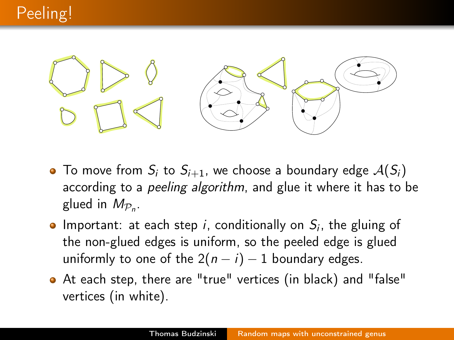

- $\bullet$  To move from  $S_i$  to  $S_{i+1}$ , we choose a boundary edge  $A(S_i)$ according to a *peeling algorithm*, and glue it where it has to be glued in  $M_{\mathcal{P}_n}$ .
- Important: at each step i, conditionally on  $S_i$ , the gluing of the non-glued edges is uniform, so the peeled edge is glued uniformly to one of the  $2(n - i) - 1$  boundary edges.
- At each step, there are "true" vertices (in black) and "false" vertices (in white).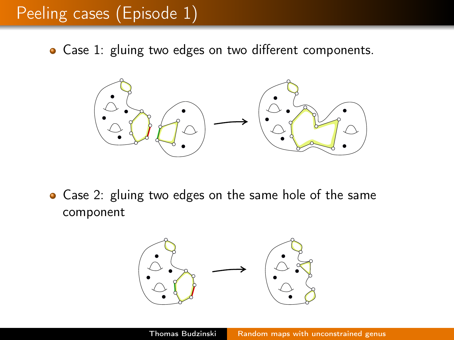## Peeling cases (Episode 1)

• Case 1: gluing two edges on two different components.



• Case 2: gluing two edges on the same hole of the same component

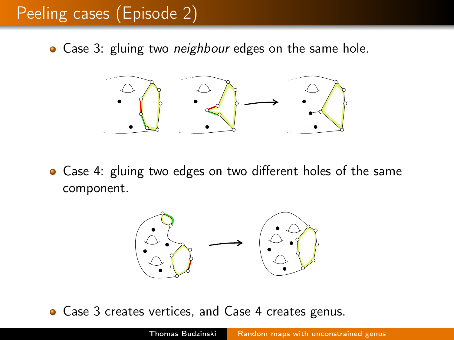## Peeling cases (Episode 2)

• Case 3: gluing two *neighbour* edges on the same hole.



Case 4: gluing two edges on two different holes of the same component.



• Case 3 creates vertices, and Case 4 creates genus.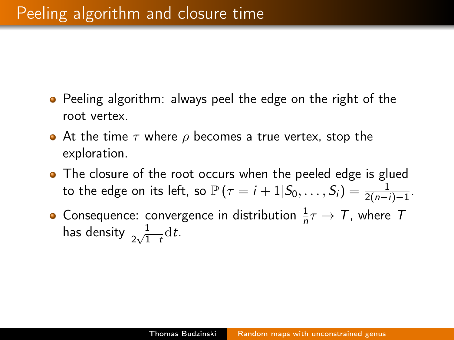- **•** Peeling algorithm: always peel the edge on the right of the root vertex.
- At the time  $\tau$  where  $\rho$  becomes a true vertex, stop the exploration.
- The closure of the root occurs when the peeled edge is glued to the edge on its left, so  $\mathbb{P}\left(\tau=i+1|S_0,\ldots,S_i\right)=\frac{1}{2(n-i)-1}.$
- Consequence: convergence in distribution  $\frac{1}{n}\tau \to T$ , where T has density  $\frac{1}{2\sqrt{1-t}}\mathrm{d}t$ .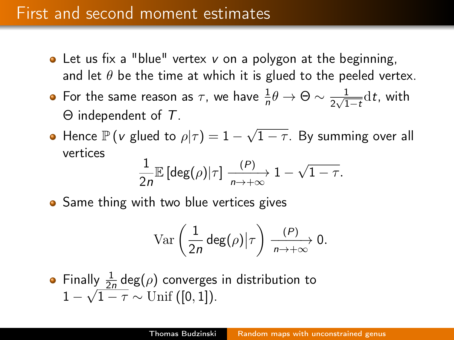#### First and second moment estimates

- $\bullet$  Let us fix a "blue" vertex v on a polygon at the beginning, and let  $\theta$  be the time at which it is glued to the peeled vertex.
- For the same reason as  $\tau$ , we have  $\frac{1}{n} \theta \rightarrow \Theta \sim \frac{1}{2 \sqrt{1}}$  $\frac{1}{2\sqrt{1-t}}$ dt, with Θ independent of T.
- Hence  $\mathbb{P}(v \text{ glued to } \rho | \tau) = 1 \sqrt{1 \rho^2}$  $1-\tau$ . By summing over all vertices

$$
\frac{1}{2n} \mathbb{E}\left[\deg(\rho)|\tau\right] \xrightarrow[n \to +\infty]{(P)} 1 - \sqrt{1-\tau}.
$$

• Same thing with two blue vertices gives

$$
\text{Var}\left(\frac{1}{2n}\deg(\rho)\big|\tau\right)\xrightarrow[n\to+\infty]{(P)} 0.
$$

• Finally 
$$
\frac{1}{2n} \deg(\rho)
$$
 converges in distribution to   
  $1 - \sqrt{1 - \tau} \sim \text{Unif } ([0, 1]).$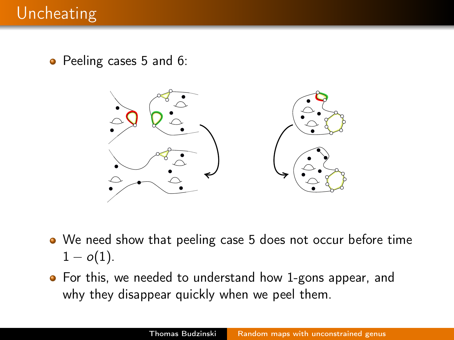• Peeling cases 5 and 6:



- We need show that peeling case 5 does not occur before time  $1 - o(1)$ .
- **•** For this, we needed to understand how 1-gons appear, and why they disappear quickly when we peel them.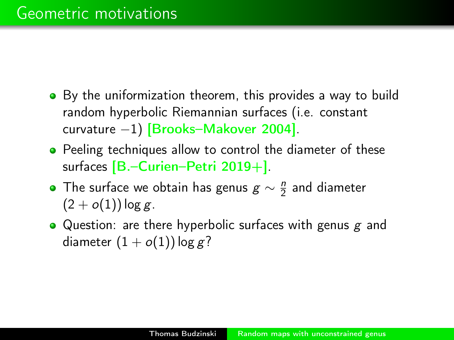- By the uniformization theorem, this provides a way to build random hyperbolic Riemannian surfaces (i.e. constant curvature −1) [Brooks–Makover 2004].
- Peeling techniques allow to control the diameter of these surfaces  $[B,-\text{Curien}-\text{Petri } 2019+]$ .
- The surface we obtain has genus  $g \sim \frac{n}{2}$  $\frac{n}{2}$  and diameter  $(2+o(1))\log g$ .
- Question: are there hyperbolic surfaces with genus  $g$  and diameter  $(1 + o(1))$  log g?